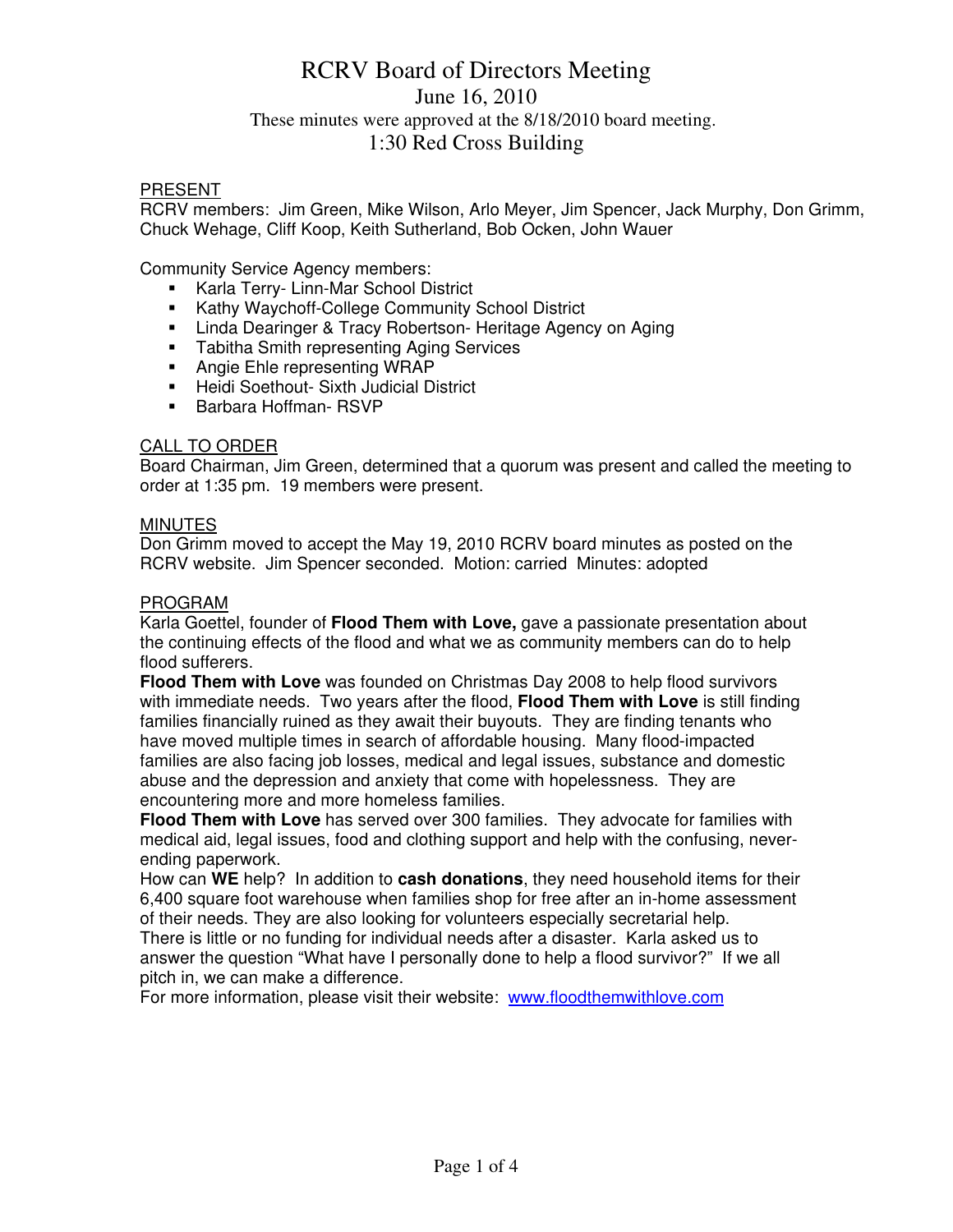# RCRV Board of Directors Meeting June 16, 2010 These minutes were approved at the 8/18/2010 board meeting. 1:30 Red Cross Building

#### PRESENT

RCRV members: Jim Green, Mike Wilson, Arlo Meyer, Jim Spencer, Jack Murphy, Don Grimm, Chuck Wehage, Cliff Koop, Keith Sutherland, Bob Ocken, John Wauer

Community Service Agency members:

- **Karla Terry- Linn-Mar School District**
- **Kathy Waychoff-College Community School District**
- **E.** Linda Dearinger & Tracy Robertson-Heritage Agency on Aging
- **Tabitha Smith representing Aging Services**
- **Angie Ehle representing WRAP**
- **Heidi Soethout- Sixth Judicial District**
- **Barbara Hoffman- RSVP**

#### CALL TO ORDER

Board Chairman, Jim Green, determined that a quorum was present and called the meeting to order at 1:35 pm. 19 members were present.

#### **MINUTES**

Don Grimm moved to accept the May 19, 2010 RCRV board minutes as posted on the RCRV website. Jim Spencer seconded. Motion: carried Minutes: adopted

#### PROGRAM

Karla Goettel, founder of **Flood Them with Love,** gave a passionate presentation about the continuing effects of the flood and what we as community members can do to help flood sufferers.

**Flood Them with Love** was founded on Christmas Day 2008 to help flood survivors with immediate needs. Two years after the flood, **Flood Them with Love** is still finding families financially ruined as they await their buyouts. They are finding tenants who have moved multiple times in search of affordable housing. Many flood-impacted families are also facing job losses, medical and legal issues, substance and domestic abuse and the depression and anxiety that come with hopelessness. They are encountering more and more homeless families.

**Flood Them with Love** has served over 300 families. They advocate for families with medical aid, legal issues, food and clothing support and help with the confusing, neverending paperwork.

How can **WE** help? In addition to **cash donations**, they need household items for their 6,400 square foot warehouse when families shop for free after an in-home assessment of their needs. They are also looking for volunteers especially secretarial help.

There is little or no funding for individual needs after a disaster. Karla asked us to answer the question "What have I personally done to help a flood survivor?" If we all pitch in, we can make a difference.

For more information, please visit their website: www.floodthemwithlove.com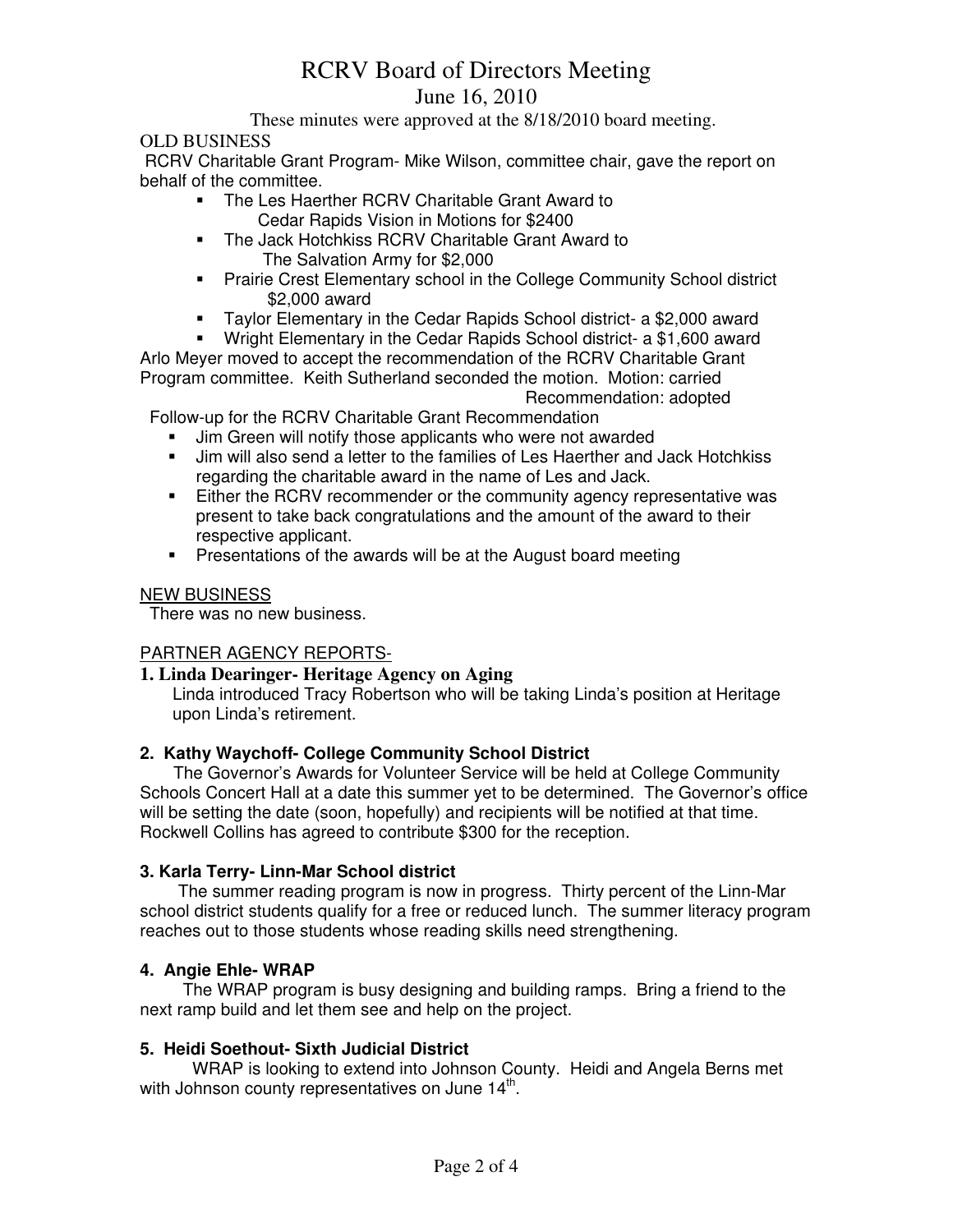# RCRV Board of Directors Meeting

# June 16, 2010

These minutes were approved at the 8/18/2010 board meeting.

# OLD BUSINESS

 RCRV Charitable Grant Program- Mike Wilson, committee chair, gave the report on behalf of the committee.

- **The Les Haerther RCRV Charitable Grant Award to** Cedar Rapids Vision in Motions for \$2400
- **The Jack Hotchkiss RCRV Charitable Grant Award to** The Salvation Army for \$2,000
- **Prairie Crest Elementary school in the College Community School district** \$2,000 award
- Taylor Elementary in the Cedar Rapids School district- a \$2,000 award

 Wright Elementary in the Cedar Rapids School district- a \$1,600 award Arlo Meyer moved to accept the recommendation of the RCRV Charitable Grant Program committee. Keith Sutherland seconded the motion. Motion: carried

Recommendation: adopted

Follow-up for the RCRV Charitable Grant Recommendation

- **Jim Green will notify those applicants who were not awarded**
- Jim will also send a letter to the families of Les Haerther and Jack Hotchkiss regarding the charitable award in the name of Les and Jack.
- **Either the RCRV recommender or the community agency representative was** present to take back congratulations and the amount of the award to their respective applicant.
- **Presentations of the awards will be at the August board meeting**

# NEW BUSINESS

There was no new business.

# PARTNER AGENCY REPORTS-

# **1. Linda Dearinger- Heritage Agency on Aging**

Linda introduced Tracy Robertson who will be taking Linda's position at Heritage upon Linda's retirement.

# **2. Kathy Waychoff- College Community School District**

 The Governor's Awards for Volunteer Service will be held at College Community Schools Concert Hall at a date this summer yet to be determined. The Governor's office will be setting the date (soon, hopefully) and recipients will be notified at that time. Rockwell Collins has agreed to contribute \$300 for the reception.

# **3. Karla Terry- Linn-Mar School district**

 The summer reading program is now in progress. Thirty percent of the Linn-Mar school district students qualify for a free or reduced lunch. The summer literacy program reaches out to those students whose reading skills need strengthening.

# **4. Angie Ehle- WRAP**

The WRAP program is busy designing and building ramps. Bring a friend to the next ramp build and let them see and help on the project.

# **5. Heidi Soethout- Sixth Judicial District**

WRAP is looking to extend into Johnson County. Heidi and Angela Berns met with Johnson county representatives on June  $14^{\text{th}}$ .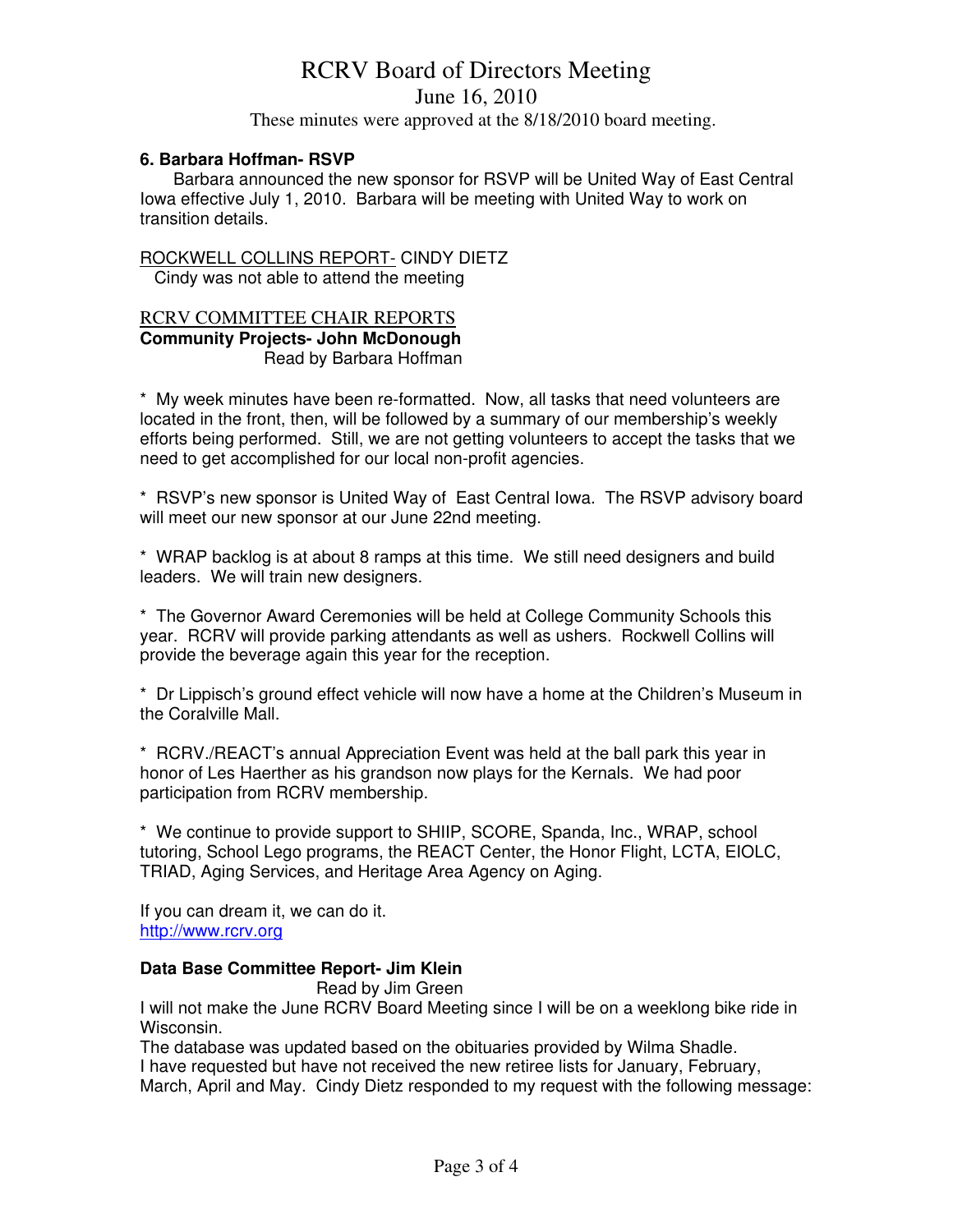# RCRV Board of Directors Meeting

June 16, 2010

These minutes were approved at the 8/18/2010 board meeting.

#### **6. Barbara Hoffman- RSVP**

Barbara announced the new sponsor for RSVP will be United Way of East Central Iowa effective July 1, 2010. Barbara will be meeting with United Way to work on transition details.

### ROCKWELL COLLINS REPORT- CINDY DIETZ

Cindy was not able to attend the meeting

### RCRV COMMITTEE CHAIR REPORTS **Community Projects- John McDonough** Read by Barbara Hoffman

\* My week minutes have been re-formatted. Now, all tasks that need volunteers are located in the front, then, will be followed by a summary of our membership's weekly efforts being performed. Still, we are not getting volunteers to accept the tasks that we need to get accomplished for our local non-profit agencies.

\* RSVP's new sponsor is United Way of East Central Iowa. The RSVP advisory board will meet our new sponsor at our June 22nd meeting.

\* WRAP backlog is at about 8 ramps at this time. We still need designers and build leaders. We will train new designers.

\* The Governor Award Ceremonies will be held at College Community Schools this year. RCRV will provide parking attendants as well as ushers. Rockwell Collins will provide the beverage again this year for the reception.

\* Dr Lippisch's ground effect vehicle will now have a home at the Children's Museum in the Coralville Mall.

\* RCRV./REACT's annual Appreciation Event was held at the ball park this year in honor of Les Haerther as his grandson now plays for the Kernals. We had poor participation from RCRV membership.

\* We continue to provide support to SHIIP, SCORE, Spanda, Inc., WRAP, school tutoring, School Lego programs, the REACT Center, the Honor Flight, LCTA, EIOLC, TRIAD, Aging Services, and Heritage Area Agency on Aging.

If you can dream it, we can do it. http://www.rcrv.org

# **Data Base Committee Report- Jim Klein**

Read by Jim Green

I will not make the June RCRV Board Meeting since I will be on a weeklong bike ride in Wisconsin.

The database was updated based on the obituaries provided by Wilma Shadle. I have requested but have not received the new retiree lists for January, February, March, April and May. Cindy Dietz responded to my request with the following message: